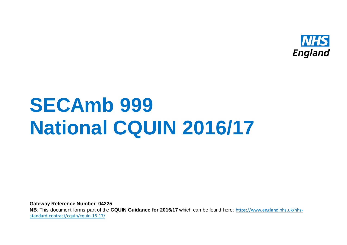

# **SECAmb 999 National CQUIN 2016/17**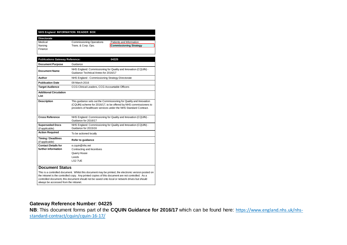| NHS England INFORMATION READER BOX |  |
|------------------------------------|--|
|                                    |  |

**Directorate** Finance

Medical Commissioning Operations Patients and Information<br>
Nursing Trans. & Corp. Ops. Commissioning Strate

**Commissioning Strategy** 

| <b>Document Purpose</b>                           | Guidance                                                                                                                                                                                                      |
|---------------------------------------------------|---------------------------------------------------------------------------------------------------------------------------------------------------------------------------------------------------------------|
|                                                   |                                                                                                                                                                                                               |
| <b>Document Name</b>                              | NHS England: Commissioning for Quality and Innovation (CQUIN) -<br>Guidance Technical Annex for 2016/17                                                                                                       |
| Author                                            | NHS England - Commissioning Strategy Directorate                                                                                                                                                              |
| <b>Publication Date</b>                           | 09 March 2016                                                                                                                                                                                                 |
| <b>Target Audience</b>                            | CCG Clinical Leaders, CCG Accountable Officers                                                                                                                                                                |
| <b>Additional Circulation</b><br>List             |                                                                                                                                                                                                               |
| <b>Description</b>                                | This quidance sets out the Commissioning for Quality and Innovation<br>(CQUIN) scheme for 2016/17, to be offered by NHS commissioners to<br>providers of healthcare services under the NHS Standard Contract. |
| <b>Cross Reference</b>                            | NHS England: Commissioning for Quality and Innovation (CQUIN) -<br>Guidance for 2016/17                                                                                                                       |
| <b>Superseded Docs</b><br>(if applicable)         | NHS England: Commissioning for Quality and Innovation (CQUIN) -<br>Guidance for 2015/16                                                                                                                       |
| <b>Action Required</b>                            | To be actioned locally                                                                                                                                                                                        |
| <b>Timing / Deadlines</b><br>(if applicable)      | Refer to guidance                                                                                                                                                                                             |
| <b>Contact Details for</b><br>further information | e.cquin@nhs.net<br>Contracting and Incentives<br>Quarry House<br>Leeds<br>LS2 7UE                                                                                                                             |
| <b>Document Status</b>                            | This is a controlled document. Whilst this document may be printed, the electronic version posted on                                                                                                          |

the intranet is the controlled copy. Any printed copies of this document are not controlled. As a controlled document, this document should not be saved onto local or network drives but should always be accessed from the intranet.

#### **Gateway Reference Number**: **04225**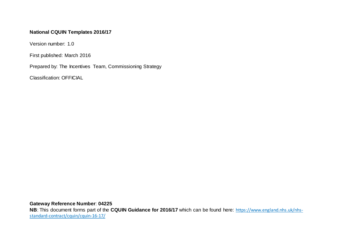#### **National CQUIN Templates 2016/17**

Version number: 1.0

First published: March 2016

Prepared by: The Incentives Team, Commissioning Strategy

Classification: OFFICIAL

**Gateway Reference Number**: **04225**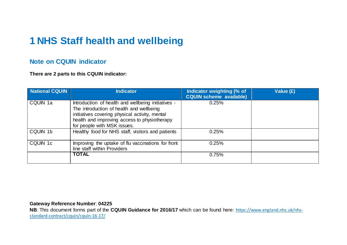## **1 NHS Staff health and wellbeing**

### **Note on CQUIN indicator**

**There are 2 parts to this CQUIN indicator:**

| <b>National CQUIN</b> | Indicator                                                                                                                                                                                                                       | Indicator weighting (% of<br><b>CQUIN scheme available)</b> | Value (£) |
|-----------------------|---------------------------------------------------------------------------------------------------------------------------------------------------------------------------------------------------------------------------------|-------------------------------------------------------------|-----------|
| CQUIN 1a              | Introduction of health and wellbeing initiatives -<br>The introduction of health and wellbeing<br>initiatives covering physical activity, mental<br>health and improving access to physiotherapy<br>for people with MSK issues. | 0.25%                                                       |           |
| CQUIN 1b              | Healthy food for NHS staff, visitors and patients                                                                                                                                                                               | 0.25%                                                       |           |
| CQUIN 1c              | Improving the uptake of flu vaccinations for front<br>line staff within Providers                                                                                                                                               | 0.25%                                                       |           |
|                       | <b>TOTAL</b>                                                                                                                                                                                                                    | 0.75%                                                       |           |

#### **Gateway Reference Number**: **04225**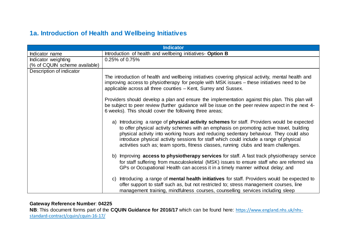## **1a. Introduction of Health and Wellbeing Initiatives**

| <b>Indicator</b>              |                                                                                                                                                                                                                                                                                                                                                                                                                                                                                                                                     |
|-------------------------------|-------------------------------------------------------------------------------------------------------------------------------------------------------------------------------------------------------------------------------------------------------------------------------------------------------------------------------------------------------------------------------------------------------------------------------------------------------------------------------------------------------------------------------------|
| Indicator name                | Introduction of health and wellbeing initiatives- Option B                                                                                                                                                                                                                                                                                                                                                                                                                                                                          |
| Indicator weighting           | 0.25% of 0.75%                                                                                                                                                                                                                                                                                                                                                                                                                                                                                                                      |
| (% of CQUIN scheme available) |                                                                                                                                                                                                                                                                                                                                                                                                                                                                                                                                     |
| Description of indicator      | The introduction of health and wellbeing initiatives covering physical activity, mental health and<br>improving access to physiotherapy for people with MSK issues – these initiatives need to be<br>applicable across all three counties - Kent, Surrey and Sussex.<br>Providers should develop a plan and ensure the implementation against this plan. This plan will<br>be subject to peer review (further guidance will be issue on the peer review aspect in the next 4-                                                       |
|                               | 6 weeks). This should cover the following three areas;<br>a) Introducing a range of <b>physical activity schemes</b> for staff. Providers would be expected<br>to offer physical activity schemes with an emphasis on promoting active travel, building<br>physical activity into working hours and reducing sedentary behaviour. They could also<br>introduce physical activity sessions for staff which could include a range of physical<br>activities such as; team sports, fitness classes, running clubs and team challenges. |
|                               | b) Improving <b>access to physiotherapy services</b> for staff. A fast track physiotherapy service<br>for staff suffering from musculoskeletal (MSK) issues to ensure staff who are referred via<br>GPs or Occupational Health can access it in a timely manner without delay; and                                                                                                                                                                                                                                                  |
|                               | Introducing a range of <b>mental health initiatives</b> for staff. Providers would be expected to<br>C)<br>offer support to staff such as, but not restricted to; stress management courses, line<br>management training, mindfulness courses, counselling services including sleep                                                                                                                                                                                                                                                 |

#### **Gateway Reference Number**: **04225**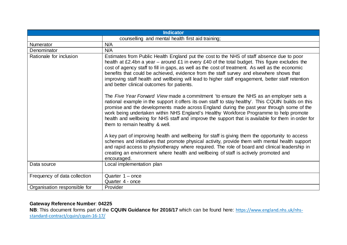| <b>Indicator</b>             |                                                                                                                                                                                                                                                                                                                                                                                                                                                                                                                                               |
|------------------------------|-----------------------------------------------------------------------------------------------------------------------------------------------------------------------------------------------------------------------------------------------------------------------------------------------------------------------------------------------------------------------------------------------------------------------------------------------------------------------------------------------------------------------------------------------|
|                              | counselling and mental health first aid training;                                                                                                                                                                                                                                                                                                                                                                                                                                                                                             |
| Numerator                    | N/A                                                                                                                                                                                                                                                                                                                                                                                                                                                                                                                                           |
| Denominator                  | N/A                                                                                                                                                                                                                                                                                                                                                                                                                                                                                                                                           |
| Rationale for inclusion      | Estimates from Public Health England put the cost to the NHS of staff absence due to poor<br>health at £2.4bn a year – around £1 in every £40 of the total budget. This figure excludes the<br>cost of agency staff to fill in gaps, as well as the cost of treatment. As well as the economic<br>benefits that could be achieved, evidence from the staff survey and elsewhere shows that<br>improving staff health and wellbeing will lead to higher staff engagement, better staff retention<br>and better clinical outcomes for patients. |
|                              | The Five Year Forward View made a commitment 'to ensure the NHS as an employer sets a<br>national example in the support it offers its own staff to stay healthy'. This CQUIN builds on this<br>promise and the developments made across England during the past year through some of the<br>work being undertaken within NHS England's Healthy Workforce Programme to help promote<br>health and wellbeing for NHS staff and improve the support that is available for them in order for<br>them to remain healthy & well.                   |
|                              | A key part of improving health and wellbeing for staff is giving them the opportunity to access<br>schemes and initiatives that promote physical activity, provide them with mental health support<br>and rapid access to physiotherapy where required. The role of board and clinical leadership in<br>creating an environment where health and wellbeing of staff is actively promoted and<br>encouraged.                                                                                                                                   |
| Data source                  | Local implementation plan                                                                                                                                                                                                                                                                                                                                                                                                                                                                                                                     |
| Frequency of data collection | Quarter $1 -$ once                                                                                                                                                                                                                                                                                                                                                                                                                                                                                                                            |
|                              | Quarter 4 - once                                                                                                                                                                                                                                                                                                                                                                                                                                                                                                                              |
| Organisation responsible for | Provider                                                                                                                                                                                                                                                                                                                                                                                                                                                                                                                                      |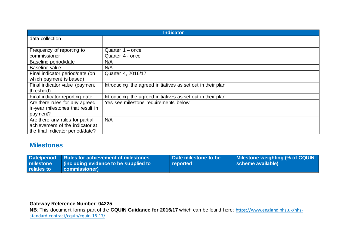| <b>Indicator</b>                  |                                                             |
|-----------------------------------|-------------------------------------------------------------|
| data collection                   |                                                             |
|                                   |                                                             |
| Frequency of reporting to         | Quarter $1$ – once                                          |
| commissioner                      | Quarter 4 - once                                            |
| Baseline period/date              | N/A                                                         |
| <b>Baseline value</b>             | N/A                                                         |
| Final indicator period/date (on   | Quarter 4, 2016/17                                          |
| which payment is based)           |                                                             |
| Final indicator value (payment    | Introducing the agreed initiatives as set out in their plan |
| threshold)                        |                                                             |
| Final indicator reporting date    | Introducing the agreed initiatives as set out in their plan |
| Are there rules for any agreed    | Yes see milestone requirements below.                       |
| in-year milestones that result in |                                                             |
| payment?                          |                                                             |
| Are there any rules for partial   | N/A                                                         |
| achievement of the indicator at   |                                                             |
| the final indicator period/date?  |                                                             |

#### **Milestones**

| relates to | Date/period   Rules for achievement of milestones<br>milestone (including evidence to be supplied to<br>commissioner) | Date milestone to be<br>reported | <b>Milestone weighting (% of CQUIN</b><br>scheme available) |
|------------|-----------------------------------------------------------------------------------------------------------------------|----------------------------------|-------------------------------------------------------------|
|            |                                                                                                                       |                                  |                                                             |

## **Gateway Reference Number**: **04225**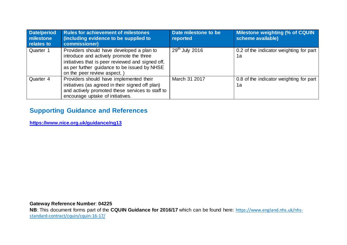| <b>Date/period</b><br><b>Inilestone</b><br>relates to | <b>Rules for achievement of milestones</b><br>(including evidence to be supplied to<br>commissioner)                                                                                                                     | Date milestone to be<br>reported | Milestone weighting (% of CQUIN<br>scheme available) |
|-------------------------------------------------------|--------------------------------------------------------------------------------------------------------------------------------------------------------------------------------------------------------------------------|----------------------------------|------------------------------------------------------|
| Quarter 1                                             | Providers should have developed a plan to<br>introduce and actively promote the three<br>initiatives that is peer reviewed and signed off,<br>as per further guidance to be issued by NHSE<br>on the peer review aspect. | $29th$ July 2016                 | 0.2 of the indicator weighting for part<br>1a        |
| Quarter 4                                             | Providers should have implemented their<br>initiatives (as agreed in their signed off plan)<br>and actively promoted these services to staff to<br>encourage uptake of initiatives.                                      | March 31 2017                    | 0.8 of the indicator weighting for part<br>1a        |

## **Supporting Guidance and References**

**<https://www.nice.org.uk/guidance/ng13>**

**Gateway Reference Number**: **04225**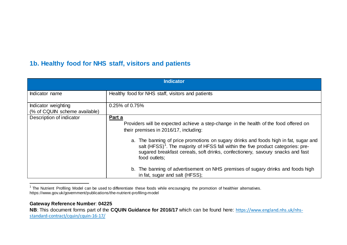## <span id="page-8-0"></span>**1b. Healthy food for NHS staff, visitors and patients**

| <b>Indicator</b>                                     |                                                                                                                                                                                                                                                                                          |
|------------------------------------------------------|------------------------------------------------------------------------------------------------------------------------------------------------------------------------------------------------------------------------------------------------------------------------------------------|
| Indicator name                                       | Healthy food for NHS staff, visitors and patients                                                                                                                                                                                                                                        |
| Indicator weighting<br>(% of CQUIN scheme available) | 0.25% of 0.75%                                                                                                                                                                                                                                                                           |
| Description of indicator                             | Part a<br>Providers will be expected achieve a step-change in the health of the food offered on<br>their premises in 2016/17, including:                                                                                                                                                 |
|                                                      | a. The banning of price promotions on sugary drinks and foods high in fat, sugar and<br>salt (HFSS) <sup>1</sup> . The majority of HFSS fall within the five product categories: pre-<br>sugared breakfast cereals, soft drinks, confectionery, savoury snacks and fast<br>food outlets: |
|                                                      | b. The banning of advertisement on NHS premises of sugary drinks and foods high<br>in fat, sugar and salt (HFSS);                                                                                                                                                                        |

<sup>1</sup> The Nutrient Profiling Model can be used to differentiate these foods while encouraging the promotion of healthier alternatives. https://www.gov.uk/government/publications/the-nutrient-profiling-model

#### **Gateway Reference Number**: **04225**

1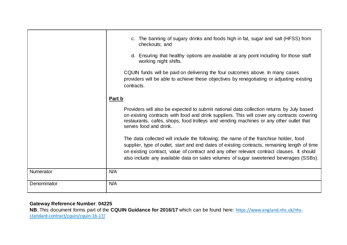|             | c. The banning of sugary drinks and foods high in fat, sugar and salt (HFSS) from<br>checkouts; and                                                                                                                                                                                                                                                                           |
|-------------|-------------------------------------------------------------------------------------------------------------------------------------------------------------------------------------------------------------------------------------------------------------------------------------------------------------------------------------------------------------------------------|
|             | d. Ensuring that healthy options are available at any point including for those staff<br>working night shifts.                                                                                                                                                                                                                                                                |
|             | CQUIN funds will be paid on delivering the four outcomes above. In many cases<br>providers will be able to achieve these objectives by renegotiating or adjusting existing<br>contracts.                                                                                                                                                                                      |
|             | <u>Part b</u>                                                                                                                                                                                                                                                                                                                                                                 |
|             | Providers will also be expected to submit national data collection returns by July based<br>on existing contracts with food and drink suppliers. This will cover any contracts covering<br>restaurants, cafés, shops, food trolleys and vending machines or any other outlet that<br>serves food and drink.                                                                   |
|             | The data collected will include the following; the name of the franchise holder, food<br>supplier, type of outlet, start and end dates of existing contracts, remaining length of time<br>on existing contract, value of contract and any other relevant contract clauses. It should<br>also include any available data on sales volumes of sugar sweetened beverages (SSBs). |
| Numerator   | N/A                                                                                                                                                                                                                                                                                                                                                                           |
| Denominator | N/A                                                                                                                                                                                                                                                                                                                                                                           |
|             |                                                                                                                                                                                                                                                                                                                                                                               |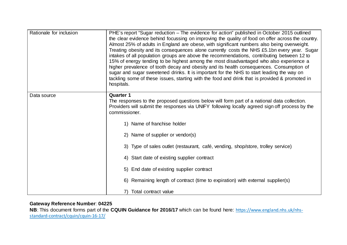| Rationale for inclusion | PHE's report "Sugar reduction – The evidence for action" published in October 2015 outlined<br>the clear evidence behind focussing on improving the quality of food on offer across the country.<br>Almost 25% of adults in England are obese, with significant numbers also being overweight.<br>Treating obesity and its consequences alone currently costs the NHS £5.1bn every year. Sugar<br>intakes of all population groups are above the recommendations, contributing between 12 to<br>15% of energy tending to be highest among the most disadvantaged who also experience a<br>higher prevalence of tooth decay and obesity and its health consequences. Consumption of<br>sugar and sugar sweetened drinks. It is important for the NHS to start leading the way on<br>tackling some of these issues, starting with the food and drink that is provided & promoted in<br>hospitals. |
|-------------------------|-------------------------------------------------------------------------------------------------------------------------------------------------------------------------------------------------------------------------------------------------------------------------------------------------------------------------------------------------------------------------------------------------------------------------------------------------------------------------------------------------------------------------------------------------------------------------------------------------------------------------------------------------------------------------------------------------------------------------------------------------------------------------------------------------------------------------------------------------------------------------------------------------|
| Data source             | <b>Quarter 1</b><br>The responses to the proposed questions below will form part of a national data collection.<br>Providers will submit the responses via UNIFY following locally agreed sign off process by the<br>commissioner.                                                                                                                                                                                                                                                                                                                                                                                                                                                                                                                                                                                                                                                              |
|                         | 1) Name of franchise holder                                                                                                                                                                                                                                                                                                                                                                                                                                                                                                                                                                                                                                                                                                                                                                                                                                                                     |
|                         | 2) Name of supplier or vendor(s)                                                                                                                                                                                                                                                                                                                                                                                                                                                                                                                                                                                                                                                                                                                                                                                                                                                                |
|                         | 3) Type of sales outlet (restaurant, café, vending, shop/store, trolley service)                                                                                                                                                                                                                                                                                                                                                                                                                                                                                                                                                                                                                                                                                                                                                                                                                |
|                         | 4) Start date of existing supplier contract                                                                                                                                                                                                                                                                                                                                                                                                                                                                                                                                                                                                                                                                                                                                                                                                                                                     |
|                         | 5) End date of existing supplier contract                                                                                                                                                                                                                                                                                                                                                                                                                                                                                                                                                                                                                                                                                                                                                                                                                                                       |
|                         | 6) Remaining length of contract (time to expiration) with external supplier(s)                                                                                                                                                                                                                                                                                                                                                                                                                                                                                                                                                                                                                                                                                                                                                                                                                  |
|                         | Total contract value                                                                                                                                                                                                                                                                                                                                                                                                                                                                                                                                                                                                                                                                                                                                                                                                                                                                            |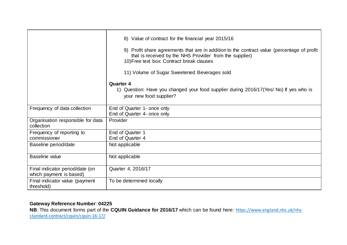|                                                            | 8) Value of contract for the financial year 2015/16<br>9) Profit share agreements that are in addition to the contract value (percentage of profit<br>that is received by the NHS Provider from the supplier)<br>10) Free text box: Contract break clauses<br>11) Volume of Sugar Sweetened Beverages sold<br><b>Quarter 4</b><br>1) Question: Have you changed your food supplier during 2016/17 (Yes/ No) If yes who is<br>your new food supplier? |
|------------------------------------------------------------|------------------------------------------------------------------------------------------------------------------------------------------------------------------------------------------------------------------------------------------------------------------------------------------------------------------------------------------------------------------------------------------------------------------------------------------------------|
| Frequency of data collection                               | End of Quarter 1- once only<br>End of Quarter 4- once only                                                                                                                                                                                                                                                                                                                                                                                           |
| Organisation responsible for data<br>collection            | Provider                                                                                                                                                                                                                                                                                                                                                                                                                                             |
| Frequency of reporting to<br>commissioner                  | End of Quarter 1<br>End of Quarter 4                                                                                                                                                                                                                                                                                                                                                                                                                 |
| Baseline period/date                                       | Not applicable                                                                                                                                                                                                                                                                                                                                                                                                                                       |
| Baseline value                                             | Not applicable                                                                                                                                                                                                                                                                                                                                                                                                                                       |
| Final indicator period/date (on<br>which payment is based) | Quarter 4, 2016/17                                                                                                                                                                                                                                                                                                                                                                                                                                   |
| Final indicator value (payment<br>threshold)               | To be determined locally                                                                                                                                                                                                                                                                                                                                                                                                                             |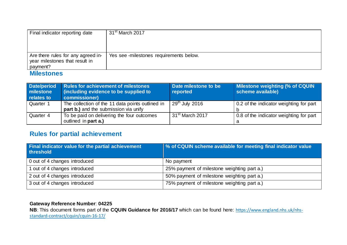| Final indicator reporting date                                       | 31 <sup>st</sup> March 2017             |
|----------------------------------------------------------------------|-----------------------------------------|
|                                                                      |                                         |
|                                                                      |                                         |
| Are there rules for any agreed in-<br>year milestones that result in | Yes see -milestones requirements below. |
| payment?<br>----                                                     |                                         |

#### **Milestones**

| Date/period<br>milestone<br>relates to | <b>Rules for achievement of milestones</b><br>(including evidence to be supplied to<br>commissioner) | Date milestone to be<br>reported | Milestone weighting (% of CQUIN<br>scheme available) |
|----------------------------------------|------------------------------------------------------------------------------------------------------|----------------------------------|------------------------------------------------------|
| Quarter 1                              | The collection of the 11 data points outlined in<br>part b.) and the submission via unify            | $29th$ July 2016                 | 0.2 of the indicator weighting for part              |
| Quarter 4                              | To be paid on delivering the four outcomes<br>outlined in part a.)                                   | 31 <sup>st</sup> March 2017      | 0.8 of the indicator weighting for part              |

## **Rules for partial achievement**

| <b>Final indicator value for the partial achievement</b><br>threshold | % of CQUIN scheme available for meeting final indicator value |
|-----------------------------------------------------------------------|---------------------------------------------------------------|
| 0 out of 4 changes introduced                                         | No payment                                                    |
| 1 out of 4 changes introduced                                         | 25% payment of milestone weighting part a.)                   |
| 2 out of 4 changes introduced                                         | 50% payment of milestone weighting part a.)                   |
| 3 out of 4 changes introduced                                         | 75% payment of milestone weighting part a.)                   |

#### **Gateway Reference Number**: **04225**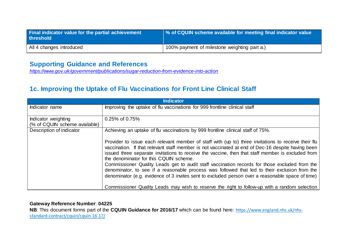| Final indicator value for the partial achievement<br>threshold | % of CQUIN scheme available for meeting final indicator value |
|----------------------------------------------------------------|---------------------------------------------------------------|
| All 4 changes introduced                                       | 100% payment of milestone weighting part a.)                  |

## **Supporting Guidance and References**

*<https://www.gov.uk/government/publications/sugar-reduction-from-evidence-into-action>*

## **1c. Improving the Uptake of Flu Vaccinations for Front Line Clinical Staff**

| <b>Indicator</b>                                     |                                                                                                                                                                                                                                                                                                                                                         |  |
|------------------------------------------------------|---------------------------------------------------------------------------------------------------------------------------------------------------------------------------------------------------------------------------------------------------------------------------------------------------------------------------------------------------------|--|
| Indicator name                                       | Improving the uptake of flu vaccinations for 999 frontline clinical staff                                                                                                                                                                                                                                                                               |  |
| Indicator weighting<br>(% of CQUIN scheme available) | 0.25% of 0.75%                                                                                                                                                                                                                                                                                                                                          |  |
| Description of indicator                             | Achieving an uptake of flu vaccinations by 999 frontline clinical staff of 75%.                                                                                                                                                                                                                                                                         |  |
|                                                      | Provider to issue each relevant member of staff with (up to) three invitations to receive their flu<br>vaccination. If that relevant staff member is not vaccinated at end of Dec-16 despite having been<br>issued three separate invitations to receive the vaccine, then that staff member is excluded from<br>the denominator for this CQUIN scheme. |  |
|                                                      | Commissioner Quality Leads get to audit staff vaccination records for those excluded from the<br>denominator, to see if a reasonable process was followed that led to their exclusion from the<br>denominator (e.g. evidence of 3 invites sent to excluded person over a reasonable space of time)                                                      |  |
|                                                      | Commissioner Quality Leads may wish to reserve the right to follow-up with a random selection                                                                                                                                                                                                                                                           |  |

#### **Gateway Reference Number**: **04225**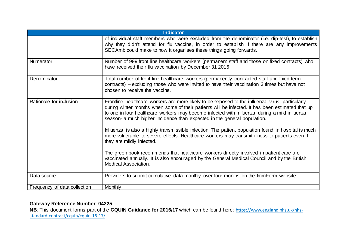| <b>Indicator</b>             |                                                                                                                                                                                                                                                                                                                                                                                 |  |
|------------------------------|---------------------------------------------------------------------------------------------------------------------------------------------------------------------------------------------------------------------------------------------------------------------------------------------------------------------------------------------------------------------------------|--|
|                              | of individual staff members who were excluded from the denominator (i.e. dip-test), to establish<br>why they didn't attend for flu vaccine, in order to establish if there are any improvements<br>SECAmb could make to how it organises these things going forwards.                                                                                                           |  |
| <b>Numerator</b>             | Number of 999 front line healthcare workers (permanent staff and those on fixed contracts) who<br>have received their flu vaccination by December 31 2016                                                                                                                                                                                                                       |  |
| Denominator                  | Total number of front line healthcare workers (permanently contracted staff and fixed term<br>contracts) – excluding those who were invited to have their vaccination 3 times but have not<br>chosen to receive the vaccine.                                                                                                                                                    |  |
| Rationale for inclusion      | Frontline healthcare workers are more likely to be exposed to the influenza virus, particularly<br>during winter months when some of their patients will be infected. It has been estimated that up<br>to one in four healthcare workers may become infected with influenza during a mild influenza<br>season- a much higher incidence than expected in the general population. |  |
|                              | Influenza is also a highly transmissible infection. The patient population found in hospital is much<br>more vulnerable to severe effects. Healthcare workers may transmit illness to patients even if<br>they are mildly infected.                                                                                                                                             |  |
|                              | The green book recommends that healthcare workers directly involved in patient care are<br>vaccinated annually. It is also encouraged by the General Medical Council and by the British<br><b>Medical Association.</b>                                                                                                                                                          |  |
| Data source                  | Providers to submit cumulative data monthly over four months on the ImmForm website                                                                                                                                                                                                                                                                                             |  |
| Frequency of data collection | <b>Monthly</b>                                                                                                                                                                                                                                                                                                                                                                  |  |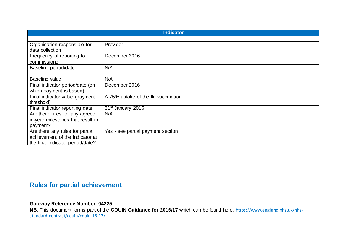| <b>Indicator</b>                  |                                     |  |
|-----------------------------------|-------------------------------------|--|
|                                   |                                     |  |
| Organisation responsible for      | Provider                            |  |
| data collection                   |                                     |  |
| Frequency of reporting to         | December 2016                       |  |
| commissioner                      |                                     |  |
| Baseline period/date              | N/A                                 |  |
|                                   |                                     |  |
| Baseline value                    | N/A                                 |  |
| Final indicator period/date (on   | December 2016                       |  |
| which payment is based)           |                                     |  |
| Final indicator value (payment    | A 75% uptake of the flu vaccination |  |
| threshold)                        |                                     |  |
| Final indicator reporting date    | 31 <sup>st</sup> January 2016       |  |
| Are there rules for any agreed    | N/A                                 |  |
| in-year milestones that result in |                                     |  |
| payment?                          |                                     |  |
| Are there any rules for partial   | Yes - see partial payment section   |  |
| achievement of the indicator at   |                                     |  |
| the final indicator period/date?  |                                     |  |

## **Rules for partial achievement**

#### **Gateway Reference Number**: **04225**